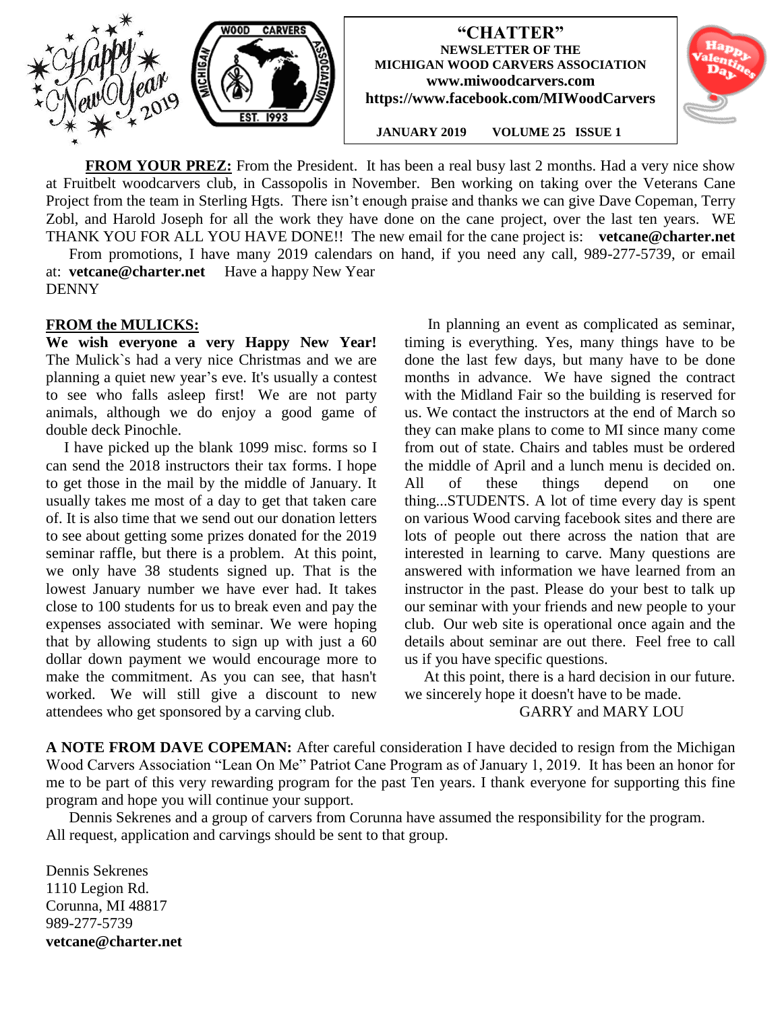

**FROM YOUR PREZ:** From the President. It has been a real busy last 2 months. Had a very nice show at Fruitbelt woodcarvers club, in Cassopolis in November. Ben working on taking over the Veterans Cane Project from the team in Sterling Hgts. There isn't enough praise and thanks we can give Dave Copeman, Terry Zobl, and Harold Joseph for all the work they have done on the cane project, over the last ten years. WE THANK YOU FOR ALL YOU HAVE DONE!! The new email for the cane project is: **vetcane@charter.net**

 From promotions, I have many 2019 calendars on hand, if you need any call, 989-277-5739, or email at: **[vetcane@charter.net](mailto:vetcane@charter.net)** Have a happy New Year DENNY

### **FROM the MULICKS:**

**We wish everyone a very Happy New Year!**  The Mulick`s had a very nice Christmas and we are planning a quiet new year's eve. It's usually a contest to see who falls asleep first! We are not party animals, although we do enjoy a good game of double deck Pinochle.

I have picked up the blank 1099 misc. forms so I can send the 2018 instructors their tax forms. I hope to get those in the mail by the middle of January. It usually takes me most of a day to get that taken care of. It is also time that we send out our donation letters to see about getting some prizes donated for the 2019 seminar raffle, but there is a problem. At this point, we only have 38 students signed up. That is the lowest January number we have ever had. It takes close to 100 students for us to break even and pay the expenses associated with seminar. We were hoping that by allowing students to sign up with just a 60 dollar down payment we would encourage more to make the commitment. As you can see, that hasn't worked. We will still give a discount to new attendees who get sponsored by a carving club.

In planning an event as complicated as seminar, timing is everything. Yes, many things have to be done the last few days, but many have to be done months in advance. We have signed the contract with the Midland Fair so the building is reserved for us. We contact the instructors at the end of March so they can make plans to come to MI since many come from out of state. Chairs and tables must be ordered the middle of April and a lunch menu is decided on. All of these things depend on one thing...STUDENTS. A lot of time every day is spent on various Wood carving facebook sites and there are lots of people out there across the nation that are interested in learning to carve. Many questions are answered with information we have learned from an instructor in the past. Please do your best to talk up our seminar with your friends and new people to your club. Our web site is operational once again and the details about seminar are out there. Feel free to call us if you have specific questions.

At this point, there is a hard decision in our future. we sincerely hope it doesn't have to be made.

GARRY and MARY LOU

**A NOTE FROM DAVE COPEMAN:** After careful consideration I have decided to resign from the Michigan Wood Carvers Association "Lean On Me" Patriot Cane Program as of January 1, 2019. It has been an honor for me to be part of this very rewarding program for the past Ten years. I thank everyone for supporting this fine program and hope you will continue your support.

 Dennis Sekrenes and a group of carvers from Corunna have assumed the responsibility for the program. All request, application and carvings should be sent to that group.

Dennis Sekrenes 1110 Legion Rd. Corunna, MI 48817 989-277-5739 **vetcane@charter.net**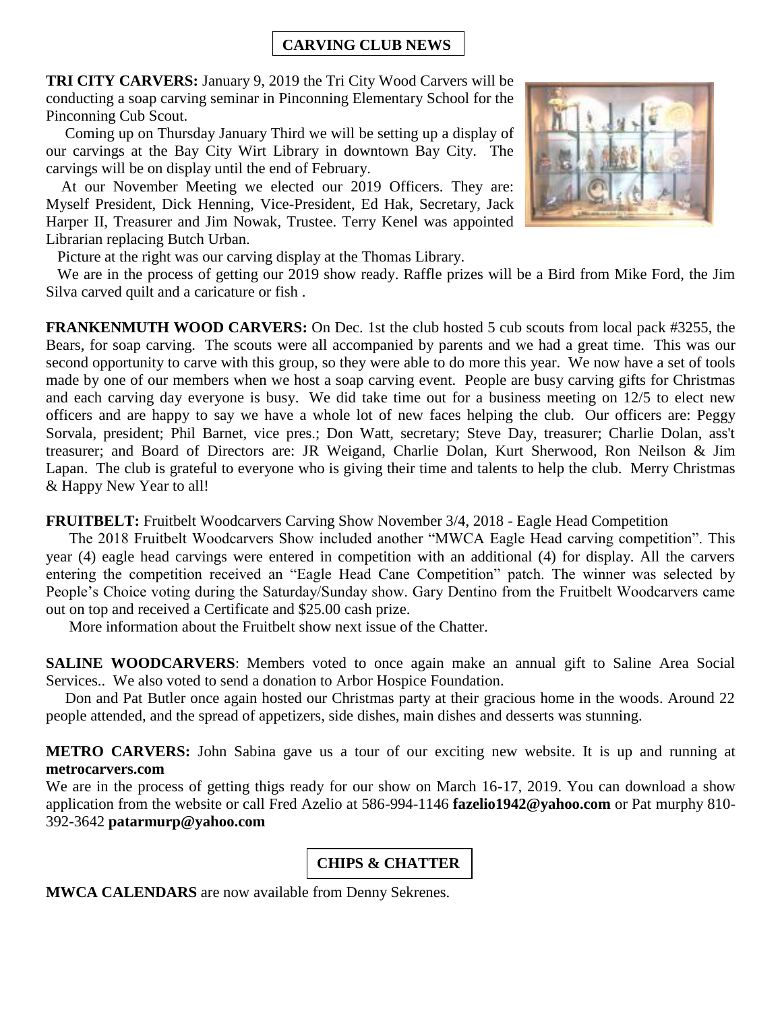### **CARVING CLUB NEWS**

**TRI CITY CARVERS:** January 9, 2019 the Tri City Wood Carvers will be conducting a soap carving seminar in Pinconning Elementary School for the Pinconning Cub Scout.

 Coming up on Thursday January Third we will be setting up a display of our carvings at the Bay City Wirt Library in downtown Bay City. The carvings will be on display until the end of February.

 At our November Meeting we elected our 2019 Officers. They are: Myself President, Dick Henning, Vice-President, Ed Hak, Secretary, Jack Harper II, Treasurer and Jim Nowak, Trustee. Terry Kenel was appointed Librarian replacing Butch Urban.

Picture at the right was our carving display at the Thomas Library.

We are in the process of getting our 2019 show ready. Raffle prizes will be a Bird from Mike Ford, the Jim Silva carved quilt and a caricature or fish .

**FRANKENMUTH WOOD CARVERS:** On Dec. 1st the club hosted 5 cub scouts from local pack #3255, the Bears, for soap carving. The scouts were all accompanied by parents and we had a great time. This was our second opportunity to carve with this group, so they were able to do more this year. We now have a set of tools made by one of our members when we host a soap carving event. People are busy carving gifts for Christmas and each carving day everyone is busy. We did take time out for a business meeting on 12/5 to elect new officers and are happy to say we have a whole lot of new faces helping the club. Our officers are: Peggy Sorvala, president; Phil Barnet, vice pres.; Don Watt, secretary; Steve Day, treasurer; Charlie Dolan, ass't treasurer; and Board of Directors are: JR Weigand, Charlie Dolan, Kurt Sherwood, Ron Neilson & Jim Lapan. The club is grateful to everyone who is giving their time and talents to help the club. Merry Christmas & Happy New Year to all!

**FRUITBELT:** Fruitbelt Woodcarvers Carving Show November 3/4, 2018 - Eagle Head Competition

The 2018 Fruitbelt Woodcarvers Show included another "MWCA Eagle Head carving competition". This year (4) eagle head carvings were entered in competition with an additional (4) for display. All the carvers entering the competition received an "Eagle Head Cane Competition" patch. The winner was selected by People's Choice voting during the Saturday/Sunday show. Gary Dentino from the Fruitbelt Woodcarvers came out on top and received a Certificate and \$25.00 cash prize.

More information about the Fruitbelt show next issue of the Chatter.

**SALINE WOODCARVERS**: Members voted to once again make an annual gift to Saline Area Social Services.. We also voted to send a donation to Arbor Hospice Foundation.

 Don and Pat Butler once again hosted our Christmas party at their gracious home in the woods. Around 22 people attended, and the spread of appetizers, side dishes, main dishes and desserts was stunning.

**METRO CARVERS:** John Sabina gave us a tour of our exciting new website. It is up and running at **metrocarvers.com**

We are in the process of getting thigs ready for our show on March 16-17, 2019. You can download a show application from the website or call Fred Azelio at 586-994-1146 **[fazelio1942@yahoo.com](mailto:fazelio1942@yahoo.com)** or Pat murphy 810- 392-3642 **[patarmurp@yahoo.com](mailto:patarmurp@yahoo.com)**

# **CHIPS & CHATTER**

**MWCA CALENDARS** are now available from Denny Sekrenes.

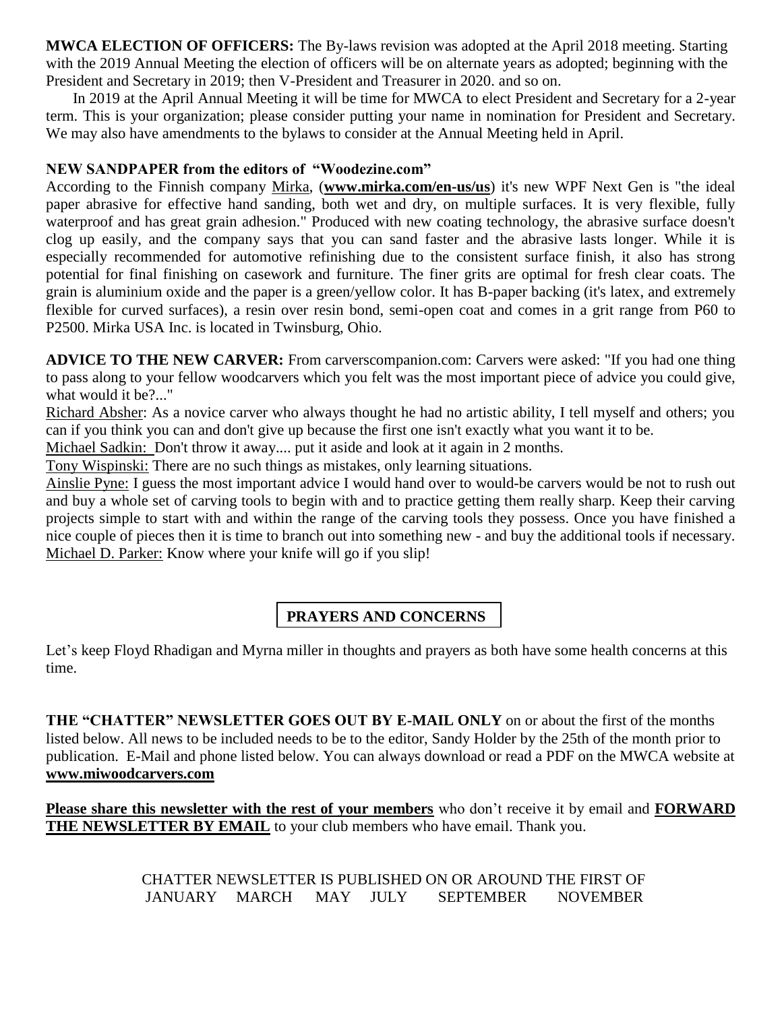**MWCA ELECTION OF OFFICERS:** The By-laws revision was adopted at the April 2018 meeting. Starting with the 2019 Annual Meeting the election of officers will be on alternate years as adopted; beginning with the President and Secretary in 2019; then V-President and Treasurer in 2020. and so on.

In 2019 at the April Annual Meeting it will be time for MWCA to elect President and Secretary for a 2-year term. This is your organization; please consider putting your name in nomination for President and Secretary. We may also have amendments to the bylaws to consider at the Annual Meeting held in April.

### **NEW SANDPAPER from the editors of "Woodezine.com"**

According to the Finnish company Mirka, (**www.mirka.com/en-us/us**) it's new WPF Next Gen is "the ideal paper abrasive for effective hand sanding, both wet and dry, on multiple surfaces. It is very flexible, fully waterproof and has great grain adhesion." Produced with new coating technology, the abrasive surface doesn't clog up easily, and the company says that you can sand faster and the abrasive lasts longer. While it is especially recommended for automotive refinishing due to the consistent surface finish, it also has strong potential for final finishing on casework and furniture. The finer grits are optimal for fresh clear coats. The grain is aluminium oxide and the paper is a green/yellow color. It has B-paper backing (it's latex, and extremely flexible for curved surfaces), a resin over resin bond, semi-open coat and comes in a grit range from P60 to P2500. Mirka USA Inc. is located in Twinsburg, Ohio.

**ADVICE TO THE NEW CARVER:** From carverscompanion.com: Carvers were asked: "If you had one thing to pass along to your fellow woodcarvers which you felt was the most important piece of advice you could give, what would it be?..."

Richard Absher: As a novice carver who always thought he had no artistic ability, I tell myself and others; you can if you think you can and don't give up because the first one isn't exactly what you want it to be.

Michael Sadkin: Don't throw it away.... put it aside and look at it again in 2 months.

Tony Wispinski: There are no such things as mistakes, only learning situations.

Ainslie Pyne: I guess the most important advice I would hand over to would-be carvers would be not to rush out and buy a whole set of carving tools to begin with and to practice getting them really sharp. Keep their carving projects simple to start with and within the range of the carving tools they possess. Once you have finished a nice couple of pieces then it is time to branch out into something new - and buy the additional tools if necessary. Michael D. Parker: Know where your knife will go if you slip!

# **PRAYERS AND CONCERNS**

Let's keep Floyd Rhadigan and Myrna miller in thoughts and prayers as both have some health concerns at this time.

**THE "CHATTER" NEWSLETTER GOES OUT BY E-MAIL ONLY** on or about the first of the months listed below. All news to be included needs to be to the editor, Sandy Holder by the 25th of the month prior to publication. E-Mail and phone listed below. You can always download or read a PDF on the MWCA website at **www.miwoodcarvers.com**

**Please share this newsletter with the rest of your members** who don't receive it by email and **FORWARD THE NEWSLETTER BY EMAIL** to your club members who have email. Thank you.

> CHATTER NEWSLETTER IS PUBLISHED ON OR AROUND THE FIRST OF JANUARY MARCH MAY JULY SEPTEMBER NOVEMBER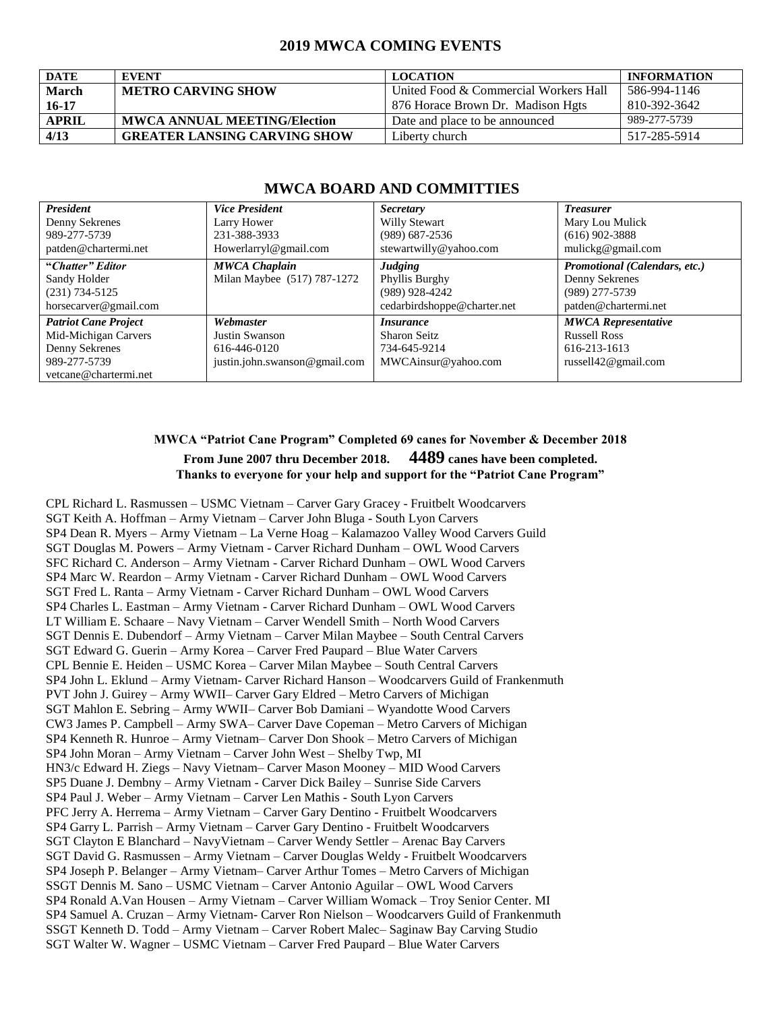### **2019 MWCA COMING EVENTS**

| <b>DATE</b>  | <b>EVENT</b>                        | <b>LOCATION</b>                       | <b>INFORMATION</b> |
|--------------|-------------------------------------|---------------------------------------|--------------------|
| <b>March</b> | <b>METRO CARVING SHOW</b>           | United Food & Commercial Workers Hall | 586-994-1146       |
| $16 - 17$    |                                     | 876 Horace Brown Dr. Madison Hgts     | 810-392-3642       |
| <b>APRIL</b> | <b>MWCA ANNUAL MEETING/Election</b> | Date and place to be announced        | 989-277-5739       |
| 4/13         | <b>GREATER LANSING CARVING SHOW</b> | Liberty church                        | 517-285-5914       |

### **MWCA BOARD AND COMMITTIES**

| <b>President</b><br>Denny Sekrenes<br>989-277-5739<br>patden@chartermi.net                                     | <b>Vice President</b><br>Larry Hower<br>231-388-3933<br>Howerlarryl@gmail.com | <i>Secretary</i><br>Willy Stewart<br>$(989)$ 687-2536<br>stewartwilly@yahoo.com     | <b>Treasurer</b><br>Mary Lou Mulick<br>$(616)$ 902-3888<br>mulickg@gmail.com                 |
|----------------------------------------------------------------------------------------------------------------|-------------------------------------------------------------------------------|-------------------------------------------------------------------------------------|----------------------------------------------------------------------------------------------|
| "Chatter" Editor<br>Sandy Holder<br>$(231) 734 - 5125$<br>horsecarver@gmail.com                                | <b>MWCA Chaplain</b><br>Milan Maybee (517) 787-1272                           | <b>Judging</b><br>Phyllis Burghy<br>$(989)$ 928-4242<br>cedarbirdshoppe@charter.net | Promotional (Calendars, etc.)<br>Denny Sekrenes<br>(989) 277-5739<br>patden@chartermi.net    |
| <b>Patriot Cane Project</b><br>Mid-Michigan Carvers<br>Denny Sekrenes<br>989-277-5739<br>vetcane@chartermi.net | Webmaster<br>Justin Swanson<br>616-446-0120<br>justin.john.swanson@gmail.com  | <i>Insurance</i><br><b>Sharon Seitz</b><br>734-645-9214<br>MWCAinsur@yahoo.com      | <b>MWCA Representative</b><br><b>Russell Ross</b><br>616-213-1613<br>russell $42@$ gmail.com |

#### **MWCA "Patriot Cane Program" Completed 69 canes for November & December 2018 From June 2007 thru December 2018. 4489 canes have been completed. Thanks to everyone for your help and support for the "Patriot Cane Program"**

CPL Richard L. Rasmussen – USMC Vietnam – Carver Gary Gracey - Fruitbelt Woodcarvers SGT Keith A. Hoffman – Army Vietnam – Carver John Bluga - South Lyon Carvers SP4 Dean R. Myers – Army Vietnam – La Verne Hoag – Kalamazoo Valley Wood Carvers Guild SGT Douglas M. Powers – Army Vietnam - Carver Richard Dunham – OWL Wood Carvers SFC Richard C. Anderson – Army Vietnam - Carver Richard Dunham – OWL Wood Carvers SP4 Marc W. Reardon – Army Vietnam - Carver Richard Dunham – OWL Wood Carvers SGT Fred L. Ranta – Army Vietnam - Carver Richard Dunham – OWL Wood Carvers SP4 Charles L. Eastman – Army Vietnam - Carver Richard Dunham – OWL Wood Carvers LT William E. Schaare – Navy Vietnam – Carver Wendell Smith – North Wood Carvers SGT Dennis E. Dubendorf – Army Vietnam – Carver Milan Maybee – South Central Carvers SGT Edward G. Guerin – Army Korea – Carver Fred Paupard – Blue Water Carvers CPL Bennie E. Heiden – USMC Korea – Carver Milan Maybee – South Central Carvers SP4 John L. Eklund – Army Vietnam- Carver Richard Hanson – Woodcarvers Guild of Frankenmuth PVT John J. Guirey – Army WWII– Carver Gary Eldred – Metro Carvers of Michigan SGT Mahlon E. Sebring – Army WWII– Carver Bob Damiani – Wyandotte Wood Carvers CW3 James P. Campbell – Army SWA– Carver Dave Copeman – Metro Carvers of Michigan SP4 Kenneth R. Hunroe – Army Vietnam– Carver Don Shook – Metro Carvers of Michigan SP4 John Moran – Army Vietnam – Carver John West – Shelby Twp, MI HN3/c Edward H. Ziegs – Navy Vietnam– Carver Mason Mooney – MID Wood Carvers SP5 Duane J. Dembny – Army Vietnam - Carver Dick Bailey – Sunrise Side Carvers SP4 Paul J. Weber – Army Vietnam – Carver Len Mathis - South Lyon Carvers PFC Jerry A. Herrema – Army Vietnam – Carver Gary Dentino - Fruitbelt Woodcarvers SP4 Garry L. Parrish – Army Vietnam – Carver Gary Dentino - Fruitbelt Woodcarvers SGT Clayton E Blanchard – NavyVietnam – Carver Wendy Settler – Arenac Bay Carvers SGT David G. Rasmussen – Army Vietnam – Carver Douglas Weldy - Fruitbelt Woodcarvers SP4 Joseph P. Belanger – Army Vietnam– Carver Arthur Tomes – Metro Carvers of Michigan SSGT Dennis M. Sano – USMC Vietnam – Carver Antonio Aguilar – OWL Wood Carvers SP4 Ronald A.Van Housen – Army Vietnam – Carver William Womack – Troy Senior Center. MI SP4 Samuel A. Cruzan – Army Vietnam- Carver Ron Nielson – Woodcarvers Guild of Frankenmuth SSGT Kenneth D. Todd – Army Vietnam – Carver Robert Malec– Saginaw Bay Carving Studio SGT Walter W. Wagner – USMC Vietnam – Carver Fred Paupard – Blue Water Carvers